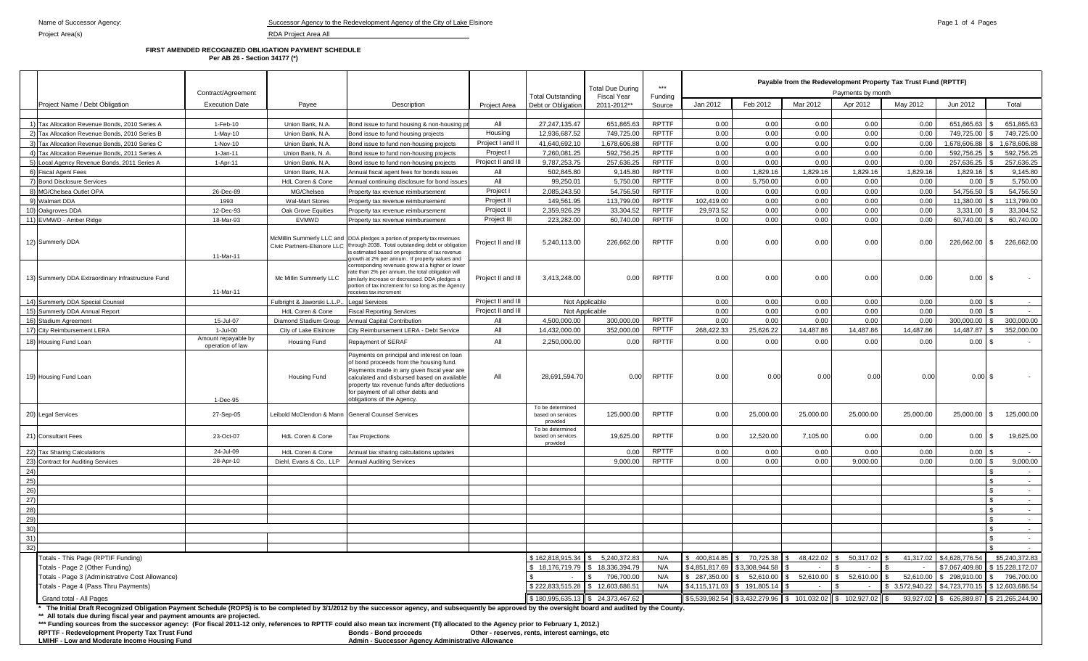## **FIRST AMENDED RECOGNIZED OBLIGATION PAYMENT SCHEDULE Per AB 26 - Section 34177 (\*)**

|                                                                                                                                                                                                                                                                                                                                                                                                                                                                                                                                                                                                                                                                                                                   | Contract/Agreement                      |                             | <b>Total Due During</b>                                                                                                                                                                                                                                                                               | $***$              | Payable from the Redevelopment Property Tax Trust Fund (RPTTF)<br>Payments by month                                                                                       |                                   |                          |                                                   |                                                                                                                                           |                                     |                           |                              |                                                                              |                                                                                                                |
|-------------------------------------------------------------------------------------------------------------------------------------------------------------------------------------------------------------------------------------------------------------------------------------------------------------------------------------------------------------------------------------------------------------------------------------------------------------------------------------------------------------------------------------------------------------------------------------------------------------------------------------------------------------------------------------------------------------------|-----------------------------------------|-----------------------------|-------------------------------------------------------------------------------------------------------------------------------------------------------------------------------------------------------------------------------------------------------------------------------------------------------|--------------------|---------------------------------------------------------------------------------------------------------------------------------------------------------------------------|-----------------------------------|--------------------------|---------------------------------------------------|-------------------------------------------------------------------------------------------------------------------------------------------|-------------------------------------|---------------------------|------------------------------|------------------------------------------------------------------------------|----------------------------------------------------------------------------------------------------------------|
| Project Name / Debt Obligation                                                                                                                                                                                                                                                                                                                                                                                                                                                                                                                                                                                                                                                                                    | <b>Execution Date</b>                   | Payee                       | Description                                                                                                                                                                                                                                                                                           | Project Area       | Total Outstanding<br>Debt or Obligation                                                                                                                                   | <b>Fiscal Year</b><br>2011-2012** | Funding<br>Source        | Jan 2012                                          | Feb 2012                                                                                                                                  | Mar 2012                            | Apr 2012                  | May 2012                     | Jun 2012                                                                     | Total                                                                                                          |
|                                                                                                                                                                                                                                                                                                                                                                                                                                                                                                                                                                                                                                                                                                                   |                                         |                             |                                                                                                                                                                                                                                                                                                       |                    |                                                                                                                                                                           |                                   |                          |                                                   |                                                                                                                                           |                                     |                           |                              |                                                                              |                                                                                                                |
| 1) Tax Allocation Revenue Bonds, 2010 Series A                                                                                                                                                                                                                                                                                                                                                                                                                                                                                                                                                                                                                                                                    | 1-Feb-10                                | Union Bank, N.A.            | Bond issue to fund housing & non-housing pr                                                                                                                                                                                                                                                           | All                | 27, 247, 135. 47                                                                                                                                                          | 651,865.63                        | <b>RPTTF</b>             | 0.00                                              | 0.00                                                                                                                                      | 0.00                                | 0.00                      | 0.00                         | 651,865.63                                                                   | 651,865.63                                                                                                     |
| 2) Tax Allocation Revenue Bonds, 2010 Series B                                                                                                                                                                                                                                                                                                                                                                                                                                                                                                                                                                                                                                                                    | $1-May-10$                              | Union Bank, N.A.            | Bond issue to fund housing projects                                                                                                                                                                                                                                                                   | Housing            | 12.936.687.52                                                                                                                                                             | 749.725.00                        | <b>RPTTF</b>             | 0.00                                              | 0.00                                                                                                                                      | 0.00                                | 0.00                      | 0.00                         | 749.725.00                                                                   | 749.725.00                                                                                                     |
| 3) Tax Allocation Revenue Bonds, 2010 Series C                                                                                                                                                                                                                                                                                                                                                                                                                                                                                                                                                                                                                                                                    | 1-Nov-10                                | Union Bank, N.A.            | Bond issue to fund non-housing projects                                                                                                                                                                                                                                                               | Project I and II   | 41,640,692.10                                                                                                                                                             | 1,678,606.88                      | <b>RPTTF</b>             | 0.00                                              | 0.00                                                                                                                                      | 0.00                                | 0.00                      | 0.00                         | 1,678,606.88                                                                 | 1,678,606.88                                                                                                   |
| 4) Tax Allocation Revenue Bonds, 2011 Series A                                                                                                                                                                                                                                                                                                                                                                                                                                                                                                                                                                                                                                                                    | $1 - Jan-11$                            | Union Bank, N. A.           | Bond issue to fund non-housing projects                                                                                                                                                                                                                                                               | Project I          | 7.260.081.25                                                                                                                                                              | 592,756.25                        | <b>RPTTF</b>             | 0.00                                              | 0.00                                                                                                                                      | 0.00                                | 0.00                      | 0.00                         | 592,756.25                                                                   | 592,756.25                                                                                                     |
| 5) Local Agency Revenue Bonds, 2011 Series A                                                                                                                                                                                                                                                                                                                                                                                                                                                                                                                                                                                                                                                                      | 1-Apr-11                                | Union Bank, N.A.            | Bond issue to fund non-housing projects                                                                                                                                                                                                                                                               | Project II and III | 9,787,253.75                                                                                                                                                              | 257,636.25                        | <b>RPTTF</b>             | 0.00                                              | 0.00                                                                                                                                      | 0.00                                | 0.00                      | 0.00                         | 257,636.25                                                                   | 257,636.25                                                                                                     |
| 6) Fiscal Agent Fees                                                                                                                                                                                                                                                                                                                                                                                                                                                                                                                                                                                                                                                                                              |                                         | Union Bank, N.A.            | Annual fiscal agent fees for bonds issues                                                                                                                                                                                                                                                             | All                | 502,845.80                                                                                                                                                                | 9,145.80                          | <b>RPTTF</b>             | 0.00                                              | 1,829.16                                                                                                                                  | 1,829.16                            | 1,829.16                  | 1,829.16                     | 1,829.16                                                                     | 9,145.80                                                                                                       |
| 7) Bond Disclosure Services                                                                                                                                                                                                                                                                                                                                                                                                                                                                                                                                                                                                                                                                                       |                                         | HdL Coren & Cone            | Annual continuing disclosure for bond issues                                                                                                                                                                                                                                                          | All                | 99,250.01                                                                                                                                                                 | 5,750.00                          | <b>RPTTF</b>             | 0.00                                              | 5,750.00                                                                                                                                  | 0.00                                | 0.00                      | 0.00                         | 0.00                                                                         | 5,750.00                                                                                                       |
| 8) MG/Chelsea Outlet OPA                                                                                                                                                                                                                                                                                                                                                                                                                                                                                                                                                                                                                                                                                          | 26-Dec-89                               | MG/Chelsea                  | Property tax revenue reimbursement                                                                                                                                                                                                                                                                    | Project I          | 2.085.243.50                                                                                                                                                              | 54,756.50                         | <b>RPTTF</b>             | 0.00                                              | 0.00                                                                                                                                      | 0.00                                | 0.00                      | 0.00                         | 54,756.50                                                                    | 54.756.50                                                                                                      |
| 9) Walmart DDA                                                                                                                                                                                                                                                                                                                                                                                                                                                                                                                                                                                                                                                                                                    | 1993                                    | <b>Wal-Mart Stores</b>      | Property tax revenue reimbursement                                                                                                                                                                                                                                                                    | Project II         | 149.561.95                                                                                                                                                                | 113,799.00                        | <b>RPTTF</b>             | 102.419.00                                        | 0.00                                                                                                                                      | 0.00                                | 0.00                      | 0.00                         | 11,380.00                                                                    | 113,799.00                                                                                                     |
| 10) Oakgroves DDA                                                                                                                                                                                                                                                                                                                                                                                                                                                                                                                                                                                                                                                                                                 | 12-Dec-93                               | Oak Grove Equities          | Property tax revenue reimbursement                                                                                                                                                                                                                                                                    | Project II         | 2.359.926.29                                                                                                                                                              | 33,304.52                         | <b>RPTTF</b>             | 29.973.52                                         | 0.00                                                                                                                                      | 0.00                                | 0.00                      | 0.00                         | 3,331.00                                                                     | 33.304.52                                                                                                      |
| 11) EVMWD - Amber Ridge                                                                                                                                                                                                                                                                                                                                                                                                                                                                                                                                                                                                                                                                                           | 18-Mar-93                               | <b>EVMWD</b>                | Property tax revenue reimbursement                                                                                                                                                                                                                                                                    | Project III        | 223.282.00                                                                                                                                                                | 60,740.00                         | <b>RPTTF</b>             | 0.00                                              | 0.00                                                                                                                                      | 0.00                                | 0.00                      | 0.00                         | 60,740.00                                                                    | 60,740.00                                                                                                      |
| 12) Summerly DDA                                                                                                                                                                                                                                                                                                                                                                                                                                                                                                                                                                                                                                                                                                  | 11-Mar-11                               |                             | McMillin Summerly LLC and DDA pledges a portion of property tax revenues<br>Civic Partners-Elsinore LLC   through 2038. Total outstanding debt or obligation<br>s estimated based on projections of tax revenue<br>rowth at 2% per annum. If property values and                                      | Project II and III | 5,240,113.00                                                                                                                                                              | 226,662.00                        | <b>RPTTF</b>             | 0.00                                              | 0.00                                                                                                                                      | 0.00                                | 0.00                      | 0.00                         | 226,662.00                                                                   | 226,662.00<br>\$.                                                                                              |
| 13) Summerly DDA Extraordinary Infrastructure Fund                                                                                                                                                                                                                                                                                                                                                                                                                                                                                                                                                                                                                                                                | 11-Mar-11                               | Mc Millin Summerly LLC      | corresponding revenues grow at a higher or lower<br>ate than 2% per annum, the total obligation will<br>similarly increase or decreased. DDA pledges a<br>portion of tax increment for so long as the Agency<br>receives tax increment                                                                | Project II and III | 3,413,248.00                                                                                                                                                              | 0.00                              | <b>RPTTF</b>             | 0.00                                              | 0.00                                                                                                                                      | 0.00                                | 0.00                      | 0.00                         | 0.00                                                                         | -S                                                                                                             |
| 14) Summerly DDA Special Counsel                                                                                                                                                                                                                                                                                                                                                                                                                                                                                                                                                                                                                                                                                  |                                         | Fulbright & Jaworski L.L.P. | egal Services                                                                                                                                                                                                                                                                                         | Project II and III | Not Applicable                                                                                                                                                            |                                   |                          | 0.00                                              | 0.00                                                                                                                                      | 0.00                                | 0.00                      | 0.00                         | 0.00                                                                         |                                                                                                                |
| 15) Summerly DDA Annual Report                                                                                                                                                                                                                                                                                                                                                                                                                                                                                                                                                                                                                                                                                    |                                         | HdL Coren & Cone            | Fiscal Reporting Services                                                                                                                                                                                                                                                                             | Project II and III | Not Applicable                                                                                                                                                            |                                   |                          | 0.00                                              | 0.00                                                                                                                                      | 0.00                                | 0.00                      | 0.00                         | 0.00                                                                         |                                                                                                                |
| 16) Stadium Agreement                                                                                                                                                                                                                                                                                                                                                                                                                                                                                                                                                                                                                                                                                             | 15-Jul-07                               | Diamond Stadium Group       | <b>Annual Capital Contribution</b>                                                                                                                                                                                                                                                                    | All                | 4.500.000.00                                                                                                                                                              | 300,000.00                        | <b>RPTTF</b>             | 0.00                                              | 0.00                                                                                                                                      | 0.00                                | 0.00                      | 0.00                         | 300.000.00                                                                   | 300.000.00                                                                                                     |
| 17) City Reimbursement LERA                                                                                                                                                                                                                                                                                                                                                                                                                                                                                                                                                                                                                                                                                       | 1-Jul-00                                | City of Lake Elsinore       | City Reimbursement LERA - Debt Service                                                                                                                                                                                                                                                                | All                | 14.432.000.00                                                                                                                                                             | 352,000.00                        | <b>RPTTF</b>             | 268.422.33                                        | 25.626.22                                                                                                                                 | 14.487.86                           | 14.487.86                 | 14.487.86                    | 14.487.87                                                                    | 352,000.00                                                                                                     |
| 18) Housing Fund Loan                                                                                                                                                                                                                                                                                                                                                                                                                                                                                                                                                                                                                                                                                             | Amount repayable by<br>operation of law | Housing Fund                | Repayment of SERAF                                                                                                                                                                                                                                                                                    | All                | 2,250,000.00                                                                                                                                                              | 0.00                              | <b>RPTTF</b>             | 0.00                                              | 0.00                                                                                                                                      | 0.00                                | 0.00                      | 0.00                         | 0.00                                                                         | $\mathfrak{L}$                                                                                                 |
| 19) Housing Fund Loan                                                                                                                                                                                                                                                                                                                                                                                                                                                                                                                                                                                                                                                                                             | 1-Dec-95                                | Housing Fund                | Payments on principal and interest on loan<br>of bond proceeds from the housing fund.<br>Payments made in any given fiscal year are<br>calculated and disbursed based on available<br>property tax revenue funds after deductions<br>for payment of all other debts and<br>obligations of the Agency. | All                | 28,691,594.70                                                                                                                                                             | 0.00                              | <b>RPTTF</b>             | 0.00                                              | 0.00                                                                                                                                      | 0.00                                | 0.00                      | 0.00                         | $0.00\,$ \$                                                                  |                                                                                                                |
| 20) Legal Services                                                                                                                                                                                                                                                                                                                                                                                                                                                                                                                                                                                                                                                                                                | 27-Sep-05                               |                             | eibold McClendon & Mann General Counsel Services                                                                                                                                                                                                                                                      |                    | To be determined<br>based on services<br>provided                                                                                                                         | 125,000.00                        | <b>RPTTF</b>             | 0.00                                              | 25,000.00                                                                                                                                 | 25,000.00                           | 25,000.00                 | 25,000.00                    | 25,000.00                                                                    | 125,000.00<br>-S                                                                                               |
| 21) Consultant Fees                                                                                                                                                                                                                                                                                                                                                                                                                                                                                                                                                                                                                                                                                               | 23-Oct-07                               | HdL Coren & Cone            | <b>Tax Projections</b>                                                                                                                                                                                                                                                                                |                    | To be determined<br>based on services<br>provided                                                                                                                         | 19,625.00                         | <b>RPTTF</b>             | 0.00                                              | 12,520.00                                                                                                                                 | 7,105.00                            | 0.00                      | 0.00                         | 0.00                                                                         | 19,625.00<br>\$.                                                                                               |
| 22) Tax Sharing Calculations                                                                                                                                                                                                                                                                                                                                                                                                                                                                                                                                                                                                                                                                                      | 24-Jul-09                               | HdL Coren & Cone            | Annual tax sharing calculations updates                                                                                                                                                                                                                                                               |                    |                                                                                                                                                                           | 0.00                              | <b>RPTTF</b>             | 0.00                                              | 0.00                                                                                                                                      | 0.00                                | 0.00                      | 0.00                         | 0.00                                                                         |                                                                                                                |
| 23) Contract for Auditing Services                                                                                                                                                                                                                                                                                                                                                                                                                                                                                                                                                                                                                                                                                | 28-Apr-10                               | Diehl, Evans & Co., LLP     | <b>Annual Auditing Services</b>                                                                                                                                                                                                                                                                       |                    |                                                                                                                                                                           | 9,000.00                          | <b>RPTTF</b>             | 0.00                                              | 0.00                                                                                                                                      | 0.00                                | 9,000.00                  | 0.00                         | 0.00                                                                         | 9,000.00                                                                                                       |
| 24)                                                                                                                                                                                                                                                                                                                                                                                                                                                                                                                                                                                                                                                                                                               |                                         |                             |                                                                                                                                                                                                                                                                                                       |                    |                                                                                                                                                                           |                                   |                          |                                                   |                                                                                                                                           |                                     |                           |                              |                                                                              | $\sim$                                                                                                         |
| 25)                                                                                                                                                                                                                                                                                                                                                                                                                                                                                                                                                                                                                                                                                                               |                                         |                             |                                                                                                                                                                                                                                                                                                       |                    |                                                                                                                                                                           |                                   |                          |                                                   |                                                                                                                                           |                                     |                           |                              |                                                                              | $\sim$                                                                                                         |
| 26)                                                                                                                                                                                                                                                                                                                                                                                                                                                                                                                                                                                                                                                                                                               |                                         |                             |                                                                                                                                                                                                                                                                                                       |                    |                                                                                                                                                                           |                                   |                          |                                                   |                                                                                                                                           |                                     |                           |                              |                                                                              | $\sim$                                                                                                         |
| 27)                                                                                                                                                                                                                                                                                                                                                                                                                                                                                                                                                                                                                                                                                                               |                                         |                             |                                                                                                                                                                                                                                                                                                       |                    |                                                                                                                                                                           |                                   |                          |                                                   |                                                                                                                                           |                                     |                           |                              |                                                                              | $\sim$                                                                                                         |
| 28)                                                                                                                                                                                                                                                                                                                                                                                                                                                                                                                                                                                                                                                                                                               |                                         |                             |                                                                                                                                                                                                                                                                                                       |                    |                                                                                                                                                                           |                                   |                          |                                                   |                                                                                                                                           |                                     |                           |                              |                                                                              | $\sim$                                                                                                         |
| 29)                                                                                                                                                                                                                                                                                                                                                                                                                                                                                                                                                                                                                                                                                                               |                                         |                             |                                                                                                                                                                                                                                                                                                       |                    |                                                                                                                                                                           |                                   |                          |                                                   |                                                                                                                                           |                                     |                           |                              |                                                                              | $\sim$                                                                                                         |
| 30)<br>31)                                                                                                                                                                                                                                                                                                                                                                                                                                                                                                                                                                                                                                                                                                        |                                         |                             |                                                                                                                                                                                                                                                                                                       |                    |                                                                                                                                                                           |                                   |                          |                                                   |                                                                                                                                           |                                     |                           |                              |                                                                              | $\sim$<br>$\sim$                                                                                               |
| 32)                                                                                                                                                                                                                                                                                                                                                                                                                                                                                                                                                                                                                                                                                                               |                                         |                             |                                                                                                                                                                                                                                                                                                       |                    |                                                                                                                                                                           |                                   |                          |                                                   |                                                                                                                                           |                                     |                           |                              |                                                                              | $\sim$ $-$                                                                                                     |
| Totals - This Page (RPTIF Funding)<br>Totals - Page 2 (Other Funding)<br>Totals - Page 3 (Administrative Cost Allowance)<br>Totals - Page 4 (Pass Thru Payments)<br>Grand total - All Pages                                                                                                                                                                                                                                                                                                                                                                                                                                                                                                                       |                                         |                             |                                                                                                                                                                                                                                                                                                       |                    | \$162,818,915.34 \$5,240,372.83<br>\$18,176,719.79 \$18,336,394.79<br>\$222,833,515.28 \$12,603,686.51<br>$\$\,180,995,635.13\,$ \\ \$ 180,995,635.13 \\ \$ 24,373,467.62 | 796,700.00                        | N/A<br>N/A<br>N/A<br>N/A | $$287,350.00$ \ \$<br>\$4,115,171.03 \$191,805.14 | $$400,814.85$ \$70,725.38 \$<br>\$4,851,817.69 \$3,308,944.58<br>52,610.00<br>$$5,539,982.54$ $$3,432,279.96$ $$101,032.02$ $$102,927.02$ | 48,422.02 \$<br>52,610.00<br>$\sim$ | 50,317.02 \$<br>52,610.00 | 52,610.00<br>\$ 3,572,940.22 | 41,317.02 \$4,628,776.54<br>\$7,067,409.80<br>\$298,910.00<br>\$4,723,770.15 | \$5,240,372.83<br>\$15,228,172.07<br>796,700.00<br>\$12,603,686.54<br>93,927.02 \$ 626,889.87 \$ 21,265,244.90 |
|                                                                                                                                                                                                                                                                                                                                                                                                                                                                                                                                                                                                                                                                                                                   |                                         |                             |                                                                                                                                                                                                                                                                                                       |                    |                                                                                                                                                                           |                                   |                          |                                                   |                                                                                                                                           |                                     |                           |                              |                                                                              |                                                                                                                |
| The Initial Draft Recognized Obligation Payment Schedule (ROPS) is to be completed by 3/1/2012 by the successor agency, and subsequently be approved by the oversight board and audited by the County.<br>** All totals due during fiscal year and payment amounts are projected.<br>*** Funding sources from the successor agency: (For fiscal 2011-12 only, references to RPTTF could also mean tax increment (TI) allocated to the Agency prior to February 1, 2012.)<br>RPTTF - Redevelopment Property Tax Trust Fund<br><b>Bonds - Bond proceeds</b><br>Other - reserves, rents, interest earnings, etc<br>LMIHF - Low and Moderate Income Housing Fund<br>Admin - Successor Agency Administrative Allowance |                                         |                             |                                                                                                                                                                                                                                                                                                       |                    |                                                                                                                                                                           |                                   |                          |                                                   |                                                                                                                                           |                                     |                           |                              |                                                                              |                                                                                                                |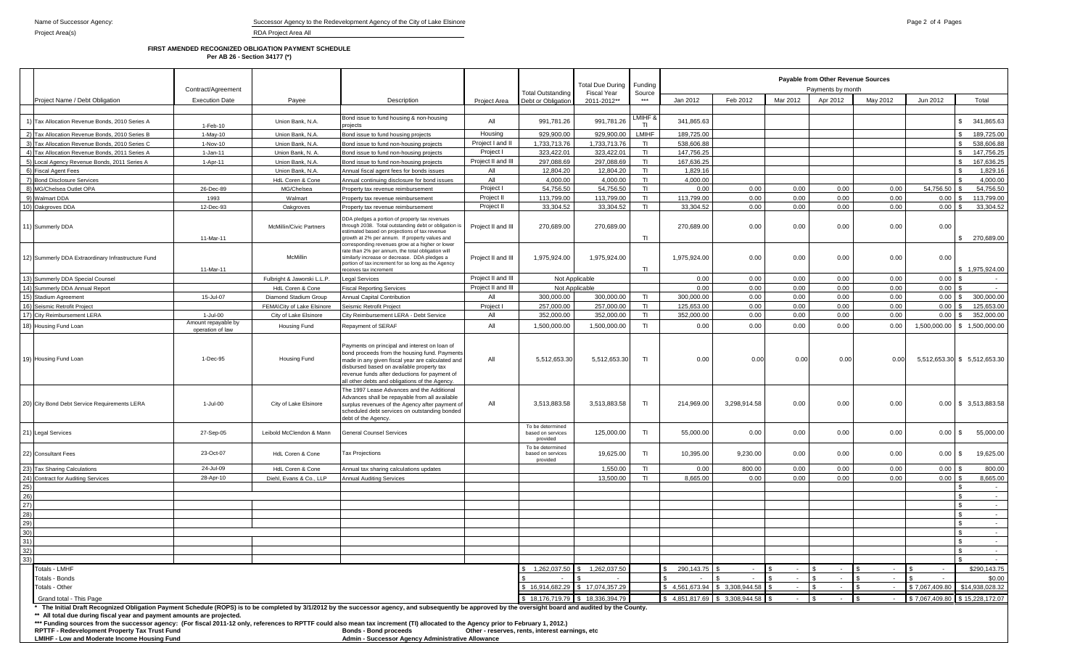|                                                | FIRST AMENDED RECOGNIZED OBLIGATION PAYMENT SCHEDULE<br>Per AB 26 - Section 34177 (*) |                                |                                                                                                                                                                                                                                                                                                                                                                                          |                    |                    |                                                |         |                                                         |          |          |          |          |           |            |  |
|------------------------------------------------|---------------------------------------------------------------------------------------|--------------------------------|------------------------------------------------------------------------------------------------------------------------------------------------------------------------------------------------------------------------------------------------------------------------------------------------------------------------------------------------------------------------------------------|--------------------|--------------------|------------------------------------------------|---------|---------------------------------------------------------|----------|----------|----------|----------|-----------|------------|--|
|                                                | Contract/Agreement                                                                    |                                |                                                                                                                                                                                                                                                                                                                                                                                          |                    | Total Outstanding  | Total Due During Funding<br><b>Fiscal Year</b> | Source  | Payable from Other Revenue Sources<br>Payments by month |          |          |          |          |           |            |  |
| Proiect Name / Debt Obligation                 | <b>Execution Date</b>                                                                 | Payee                          | Description                                                                                                                                                                                                                                                                                                                                                                              | Project Area       | Debt or Obligation | 2011-2012**                                    | ***     | Jan 2012                                                | Feb 2012 | Mar 2012 | Apr 2012 | May 2012 | Jun 2012  | Total      |  |
| Tax Allocation Revenue Bonds, 2010 Series A    | 1-Feb-10                                                                              | Union Bank, N.A.               | Bond issue to fund housing & non-housing<br>projects                                                                                                                                                                                                                                                                                                                                     | All                | 991,781.26         | 991,781.26                                     | LMIHF & | 341,865.63                                              |          |          |          |          |           | 341,865.63 |  |
| Tax Allocation Revenue Bonds, 2010 Series B    | $1-Mav-10$                                                                            | Union Bank, N.A.               | Bond issue to fund housing projects                                                                                                                                                                                                                                                                                                                                                      | Housing            | 929.900.00         | 929.900.00                                     | LMIHF   | 189.725.00                                              |          |          |          |          |           | 189.725.00 |  |
| Tax Allocation Revenue Bonds, 2010 Series C    | 1-Nov-10                                                                              | Union Bank, N.A.               | Bond issue to fund non-housing projects                                                                                                                                                                                                                                                                                                                                                  | Project I and II   | 1.733.713.76       | 1.733.713.76                                   | TI.     | 538.606.88                                              |          |          |          |          |           | 538,606.88 |  |
| Tax Allocation Revenue Bonds, 2011 Series A    | $1-Jan-11$                                                                            | Union Bank, N. A.              | Bond issue to fund non-housing projects                                                                                                                                                                                                                                                                                                                                                  | Project I          | 323,422.01         | 323,422.01                                     | TI.     | 147,756.25                                              |          |          |          |          |           | 147,756.25 |  |
| Local Agency Revenue Bonds, 2011 Series A      | $1 - A$ pr-11                                                                         | Union Bank, N.A.               | Bond issue to fund non-housing projects                                                                                                                                                                                                                                                                                                                                                  | Project II and III | 297,088.69         | 297,088.69                                     | TI.     | 167,636.25                                              |          |          |          |          |           | 167,636.25 |  |
| <b>Fiscal Agent Fees</b>                       |                                                                                       | Union Bank, N.A.               | Annual fiscal agent fees for bonds issues                                                                                                                                                                                                                                                                                                                                                | All                | 12.804.20          | 12.804.20                                      |         | 1.829.16                                                |          |          |          |          |           | 1.829.16   |  |
| <b>Bond Disclosure Services</b>                |                                                                                       | HdL Coren & Cone               | Annual continuing disclosure for bond issues                                                                                                                                                                                                                                                                                                                                             | All                | 4.000.00           | 4.000.00                                       |         | 4.000.00                                                |          |          |          |          |           | 4.000.00   |  |
| MG/Chelsea Outlet OPA                          | 26-Dec-89                                                                             | MG/Chelsea                     | Property tax revenue reimbursement                                                                                                                                                                                                                                                                                                                                                       | Project I          | 54.756.50          | 54.756.50                                      |         | 0.00                                                    | 0.00     | 0.00     | 0.00     | 0.00     | 54.756.50 | 54.756.50  |  |
| Walmart DDA                                    | 1993                                                                                  | Walmart                        | Property tax revenue reimbursement                                                                                                                                                                                                                                                                                                                                                       | Project I          | 113,799.00         | 113,799.00                                     | ΤL      | 113,799.00                                              | 0.00     | 0.00     | 0.00     | 0.00     | 0.00      | 113,799.00 |  |
| Oakgroves DDA                                  | 12-Dec-93                                                                             | Oakgroves                      | Property tax revenue reimbursement                                                                                                                                                                                                                                                                                                                                                       | Project II         | 33,304.52          | 33,304.52                                      | ΤI      | 33,304.52                                               | 0.00     | 0.00     | 0.00     | 0.00     | 0.00      | 33,304.52  |  |
| Summerly DDA                                   | 11-Mar-11                                                                             | <b>McMillin/Civic Partners</b> | DDA pledges a portion of property tax revenues<br>through 2038. Total outstanding debt or obligation is<br>estimated based on projections of tax revenue<br>growth at 2% per annum. If property values and                                                                                                                                                                               | Project II and III | 270,689.00         | 270,689.00                                     | ΤI      | 270,689.00                                              | 0.00     | 0.00     | 0.00     | 0.00     | 0.00      | 270,689.00 |  |
| Summerly DDA Extraordinary Infrastructure Fund |                                                                                       | McMillin                       | corresponding revenues grow at a higher or lower<br>rate than 2% per annum, the total obligation will<br>similarly increase or decrease. DDA pledges a<br>and a constitution of the constant of the second control of the second constant of the second constant of the second control of the second control of the second control of the second control of the second control of the se | Project II and III | 1,975,924.00       | 1,975,924.00                                   |         | 1,975,924.00                                            | 0.00     | 0.00     | 0.00     | 0.00     | 0.00      |            |  |

|     | Tax Allocation Revenue Bonds, 2010 Series A                                                                                                                                                                                                                                                                                                                                                                                                                               | 1-Feb-10                                | Union Bank, N.A.           | Bond issue to fund housing & non-housing<br>projects                                                                                                                                                                                                                                               | All                | 991,781.26                                        | 991,781.26      | MIHF 8.<br>TI | 341,865.63                    |                 |      |        |              |                | 341,865.63<br>$\mathbf{s}$     |
|-----|---------------------------------------------------------------------------------------------------------------------------------------------------------------------------------------------------------------------------------------------------------------------------------------------------------------------------------------------------------------------------------------------------------------------------------------------------------------------------|-----------------------------------------|----------------------------|----------------------------------------------------------------------------------------------------------------------------------------------------------------------------------------------------------------------------------------------------------------------------------------------------|--------------------|---------------------------------------------------|-----------------|---------------|-------------------------------|-----------------|------|--------|--------------|----------------|--------------------------------|
|     | 2) Tax Allocation Revenue Bonds, 2010 Series B                                                                                                                                                                                                                                                                                                                                                                                                                            | $1-May-10$                              | Union Bank, N.A.           | Bond issue to fund housing projects                                                                                                                                                                                                                                                                | Housing            | 929,900.00                                        | 929,900.00      | LMIHF         | 189,725.00                    |                 |      |        |              |                | 189,725.00                     |
|     | 3) Tax Allocation Revenue Bonds, 2010 Series C                                                                                                                                                                                                                                                                                                                                                                                                                            | 1-Nov-10                                | Union Bank, N.A.           | Bond issue to fund non-housing projects                                                                                                                                                                                                                                                            | Project I and I    | 1,733,713.76                                      | 1,733,713.76    | T1            | 538,606.88                    |                 |      |        |              |                | 538,606.88<br>l s              |
|     | 4) Tax Allocation Revenue Bonds, 2011 Series A                                                                                                                                                                                                                                                                                                                                                                                                                            | $1 - Jan-11$                            | Union Bank, N. A.          | Bond issue to fund non-housing projects                                                                                                                                                                                                                                                            | Project I          | 323.422.01                                        | 323.422.01      | TL            | 147.756.25                    |                 |      |        |              |                | 147.756.25<br>$\mathcal{R}$    |
|     | 5) Local Agency Revenue Bonds, 2011 Series A                                                                                                                                                                                                                                                                                                                                                                                                                              | 1-Apr-11                                | Union Bank, N.A.           | Bond issue to fund non-housing projects                                                                                                                                                                                                                                                            | Project II and III | 297,088.69                                        | 297,088.69      | T1            | 167,636.25                    |                 |      |        |              |                | 167,636.25                     |
|     | 6) Fiscal Agent Fees                                                                                                                                                                                                                                                                                                                                                                                                                                                      |                                         | Union Bank, N.A.           | Annual fiscal agent fees for bonds issues                                                                                                                                                                                                                                                          | All                | 12,804.20                                         | 12,804.20       | T1            | 1,829.16                      |                 |      |        |              |                | 1,829.16<br>l s                |
|     | 7) Bond Disclosure Services                                                                                                                                                                                                                                                                                                                                                                                                                                               |                                         | HdL Coren & Cone           | Annual continuing disclosure for bond issues                                                                                                                                                                                                                                                       | All                | 4.000.00                                          | 4.000.00        | T1            | 4.000.00                      |                 |      |        |              |                | 4.000.00                       |
|     | 8) MG/Chelsea Outlet OPA                                                                                                                                                                                                                                                                                                                                                                                                                                                  | 26-Dec-89                               | MG/Chelsea                 | Property tax revenue reimbursement                                                                                                                                                                                                                                                                 | Project I          | 54.756.50                                         | 54.756.50       | T1            | 0.00                          | 0.00            | 0.00 | 0.00   | 0.00         | 54.756.50      | 54.756.50                      |
|     | 9) Walmart DDA                                                                                                                                                                                                                                                                                                                                                                                                                                                            | 1993                                    | Walmart                    | Property tax revenue reimbursement                                                                                                                                                                                                                                                                 | Project II         | 113,799.00                                        | 113,799.00      | T1            | 113,799.00                    | 0.00            | 0.00 | 0.00   | 0.00         | 0.00           | 113,799.00                     |
|     | 10) Oakgroves DDA                                                                                                                                                                                                                                                                                                                                                                                                                                                         | 12-Dec-93                               | Oakgroves                  | Property tax revenue reimbursement                                                                                                                                                                                                                                                                 | Project II         | 33,304.52                                         | 33,304.52       | T1            | 33,304.52                     | 0.00            | 0.00 | 0.00   | 0.00         | $0.00$ \$      | 33,304.52                      |
|     | 11) Summerly DDA                                                                                                                                                                                                                                                                                                                                                                                                                                                          | 11-Mar-11                               | McMillin/Civic Partners    | DDA pledges a portion of property tax revenues<br>hrough 2038. Total outstanding debt or obligation is<br>estimated based on projections of tax revenue<br>growth at 2% per annum. If property values and<br>orresponding revenues grow at a higher or lower                                       | Project II and III | 270,689.00                                        | 270,689.00      | TI.           | 270,689.00                    | 0.00            | 0.00 | 0.00   | 0.00         | 0.00           | 270.689.00<br>£.               |
|     | 12) Summerly DDA Extraordinary Infrastructure Fund                                                                                                                                                                                                                                                                                                                                                                                                                        | 11-Mar-11                               | McMillin                   | ate than 2% per annum, the total obligation will<br>imilarly increase or decrease. DDA pledges a<br>portion of tax increment for so long as the Agency<br>eceives tax increment                                                                                                                    | Project II and III | 1,975,924.00                                      | 1,975,924.00    | T1            | 1,975,924.00                  | 0.00            | 0.00 | 0.00   | 0.00         | 0.00           | \$1,975,924.00                 |
|     | 13) Summerly DDA Special Counsel                                                                                                                                                                                                                                                                                                                                                                                                                                          |                                         | Fulbright & Jaworski L.L.P | egal Services                                                                                                                                                                                                                                                                                      | Project II and III | Not Applicable                                    |                 |               | 0.00                          | 0.00            | 0.00 | 0.00   | 0.00         | $0.00$ \$      |                                |
|     | 14) Summerly DDA Annual Report                                                                                                                                                                                                                                                                                                                                                                                                                                            |                                         | HdL Coren & Cone           | <b>Fiscal Reporting Services</b>                                                                                                                                                                                                                                                                   | Project II and III | Not Applicable                                    |                 |               | 0.00                          | 0.00            | 0.00 | 0.00   | 0.00         | 0.00           |                                |
|     | 15) Stadium Agreement                                                                                                                                                                                                                                                                                                                                                                                                                                                     | 15-Jul-07                               | Diamond Stadium Group      | Annual Capital Contribution                                                                                                                                                                                                                                                                        | All                | 300.000.00                                        | 300,000.00      | T1            | 300,000.00                    | 0.00            | 0.00 | 0.00   | 0.00         | 0.00           | 300,000.00                     |
|     | 16) Seismic Retrofit Project                                                                                                                                                                                                                                                                                                                                                                                                                                              |                                         | FEMA\City of Lake Elsinore | Seismic Retrofit Project                                                                                                                                                                                                                                                                           | Project I          | 257,000.00                                        | 257,000.00      | T1            | 125,653.00                    | 0.00            | 0.00 | 0.00   | 0.00         | 0.00           | 125,653.00                     |
|     | 17) City Reimbursement LERA                                                                                                                                                                                                                                                                                                                                                                                                                                               | 1-Jul-00                                | City of Lake Elsinore      | City Reimbursement LERA - Debt Service                                                                                                                                                                                                                                                             | All                | 352,000.00                                        | 352,000.00      | T1            | 352,000.00                    | 0.00            | 0.00 | 0.00   | 0.00         | $0.00$ \$      | 352,000.00                     |
|     | 18) Housing Fund Loan                                                                                                                                                                                                                                                                                                                                                                                                                                                     | Amount repayable by<br>operation of law | <b>Housing Fund</b>        | Repayment of SERAF                                                                                                                                                                                                                                                                                 | All                | 1,500,000.00                                      | 1,500,000.00    | TI            | 0.00                          | 0.00            | 0.00 | 0.00   | 0.00         |                | 1,500,000.00 \$ 1,500,000.00   |
|     | 19) Housing Fund Loan                                                                                                                                                                                                                                                                                                                                                                                                                                                     | 1-Dec-95                                | Housing Fund               | Payments on principal and interest on loan of<br>bond proceeds from the housing fund. Payments<br>made in any given fiscal year are calculated and<br>disbursed based on available property tax<br>revenue funds after deductions for payment of<br>all other debts and obligations of the Agency. | All                | 5,512,653.30                                      | 5,512,653.30    | TI.           | 0.00                          | 0.00            | 0.00 | 0.00   | 0.00         |                | 5,512,653.30 \$ 5,512,653.30   |
|     | 20) City Bond Debt Service Requirements LERA                                                                                                                                                                                                                                                                                                                                                                                                                              | 1-Jul-00                                | City of Lake Elsinore      | The 1997 Lease Advances and the Additional<br>Advances shall be repayable from all available<br>surplus revenues of the Agency after payment of<br>scheduled debt services on outstanding bonded<br>debt of the Agency.                                                                            | All                | 3.513.883.58                                      | 3,513,883.58    | T1            | 214.969.00                    | 3,298,914.58    | 0.00 | 0.00   | 0.00         |                | 0.00 \$ 3.513.883.58           |
|     | ) Legal Services                                                                                                                                                                                                                                                                                                                                                                                                                                                          | 27-Sep-05                               | Leibold McClendon & Mann   | <b>General Counsel Services</b>                                                                                                                                                                                                                                                                    |                    | To be determined<br>based on services<br>provided | 125,000.00      | TI            | 55,000.00                     | 0.00            | 0.00 | 0.00   | 0.00         | $0.00$ \ \$    | 55,000.00                      |
|     | 22) Consultant Fees                                                                                                                                                                                                                                                                                                                                                                                                                                                       | 23-Oct-07                               | HdL Coren & Cone           | <b>Tax Projections</b>                                                                                                                                                                                                                                                                             |                    | To be determined<br>based on services<br>provided | 19,625.00       | T1            | 10,395.00                     | 9,230.00        | 0.00 | 0.00   | 0.00         | $0.00$ \ \$    | 19,625.00                      |
|     | 23) Tax Sharing Calculations                                                                                                                                                                                                                                                                                                                                                                                                                                              | 24-Jul-09                               | HdL Coren & Cone           | Annual tax sharing calculations updates                                                                                                                                                                                                                                                            |                    |                                                   | 1,550.00        | T1            | 0.00                          | 800.00          | 0.00 | 0.00   | 0.00         | $0.00$ \$      | 800.00                         |
|     | 24) Contract for Auditing Services                                                                                                                                                                                                                                                                                                                                                                                                                                        | 28-Apr-10                               | Diehl, Evans & Co., LLP    | <b>Annual Auditing Services</b>                                                                                                                                                                                                                                                                    |                    |                                                   | 13,500.00       | T1            | 8,665.00                      | 0.00            | 0.00 | 0.00   | 0.00         | $0.00$ \$      | 8,665.00                       |
| 25) |                                                                                                                                                                                                                                                                                                                                                                                                                                                                           |                                         |                            |                                                                                                                                                                                                                                                                                                    |                    |                                                   |                 |               |                               |                 |      |        |              |                |                                |
| 26) |                                                                                                                                                                                                                                                                                                                                                                                                                                                                           |                                         |                            |                                                                                                                                                                                                                                                                                                    |                    |                                                   |                 |               |                               |                 |      |        |              |                | l \$<br>$\sim 10^{-11}$        |
| 27) |                                                                                                                                                                                                                                                                                                                                                                                                                                                                           |                                         |                            |                                                                                                                                                                                                                                                                                                    |                    |                                                   |                 |               |                               |                 |      |        |              |                | $\sim$                         |
| 28) |                                                                                                                                                                                                                                                                                                                                                                                                                                                                           |                                         |                            |                                                                                                                                                                                                                                                                                                    |                    |                                                   |                 |               |                               |                 |      |        |              |                | l s<br>$\sim$                  |
| 29) |                                                                                                                                                                                                                                                                                                                                                                                                                                                                           |                                         |                            |                                                                                                                                                                                                                                                                                                    |                    |                                                   |                 |               |                               |                 |      |        |              |                | I S<br>$\sim 100$              |
| 30) |                                                                                                                                                                                                                                                                                                                                                                                                                                                                           |                                         |                            |                                                                                                                                                                                                                                                                                                    |                    |                                                   |                 |               |                               |                 |      |        |              |                | $\sim$                         |
| 31) |                                                                                                                                                                                                                                                                                                                                                                                                                                                                           |                                         |                            |                                                                                                                                                                                                                                                                                                    |                    |                                                   |                 |               |                               |                 |      |        |              |                | l s<br>$\sim$                  |
| 32) |                                                                                                                                                                                                                                                                                                                                                                                                                                                                           |                                         |                            |                                                                                                                                                                                                                                                                                                    |                    |                                                   |                 |               |                               |                 |      |        |              |                | $\sim$                         |
| 33) |                                                                                                                                                                                                                                                                                                                                                                                                                                                                           |                                         |                            |                                                                                                                                                                                                                                                                                                    |                    |                                                   |                 |               |                               |                 |      |        |              |                |                                |
|     | Totals - LMHF                                                                                                                                                                                                                                                                                                                                                                                                                                                             |                                         |                            |                                                                                                                                                                                                                                                                                                    |                    | 1,262,037.50 \$                                   | 1,262,037.50    |               | 290,143.75                    | $\sim$          |      | $\sim$ | $\sim$       |                | \$290,143.75                   |
|     | Totals - Bonds                                                                                                                                                                                                                                                                                                                                                                                                                                                            |                                         |                            |                                                                                                                                                                                                                                                                                                    |                    |                                                   |                 |               |                               |                 |      | $\sim$ | -9<br>$\sim$ | $\sim$         | \$0.00                         |
|     | Totals - Other                                                                                                                                                                                                                                                                                                                                                                                                                                                            |                                         |                            |                                                                                                                                                                                                                                                                                                    |                    | 16.914.682.29                                     | \$17.074.357.29 |               | \$4.561.673.94                | \$ 3.308.944.58 |      |        |              | \$7.067.409.80 | \$14.938.028.32                |
|     | Grand total - This Page                                                                                                                                                                                                                                                                                                                                                                                                                                                   |                                         |                            |                                                                                                                                                                                                                                                                                                    |                    | \$18,176,719.79 \$18,336,394.79                   |                 |               | \$4,851,817.69 \$3,308,944.58 |                 |      |        | $-$ \$       |                | \$7,067,409.80 \$15,228,172.07 |
|     | * The Initial Draft Recognized Obligation Payment Schedule (ROPS) is to be completed by 3/1/2012 by the successor agency, and subsequently be approved by the oversight board and audited by the County.<br>** All total due during fiscal year and payment amounts are projected.<br>*** Funding sources from the successor agency: (For fiscal 2011-12 only, references to RPTTF could also mean tax increment (TI) allocated to the Agency prior to February 1, 2012.) |                                         |                            |                                                                                                                                                                                                                                                                                                    |                    |                                                   |                 |               |                               |                 |      |        |              |                |                                |

RPTTF - Redevelopment Property Tax Trust Fund **Bond Bonds - Bonds - Bonds - Bond proceeds** Other - reserves, rents, interest earnings, etc<br>Admin - Successor Agency Administrative Allowance **Admin - Successor Agency Administrative Allowance**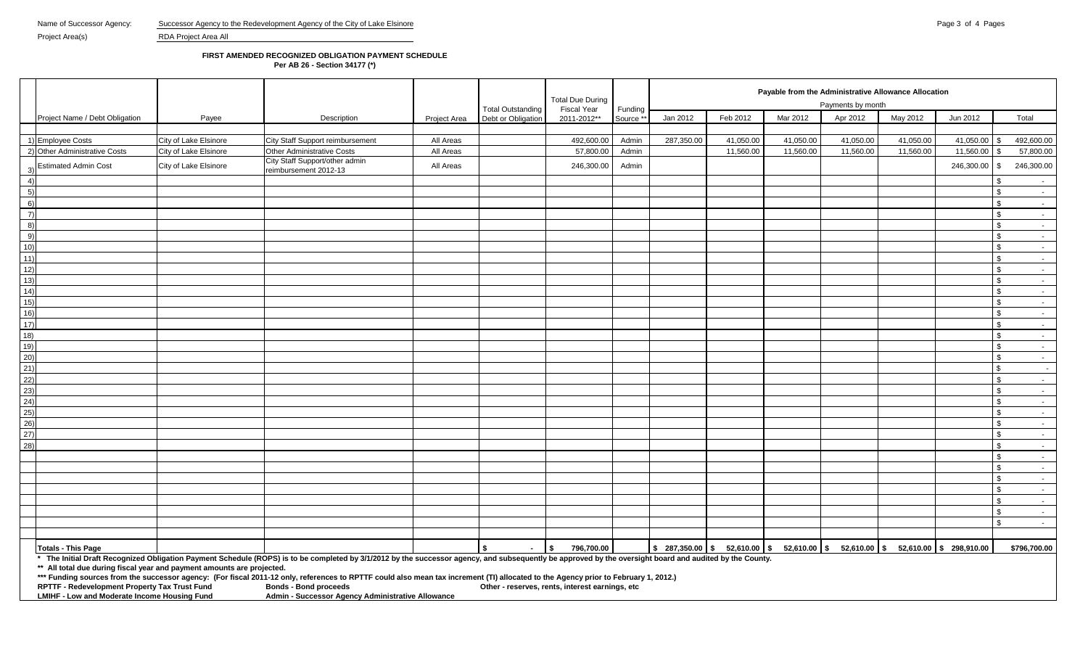## **FIRST AMENDED RECOGNIZED OBLIGATION PAYMENT SCHEDULE**

**Per AB 26 - Section 34177 (\*)**

|                                                                        |                       |                                                                                                                                                                                                          |              |                          | <b>Total Due During</b>                         |           | Payable from the Administrative Allowance Allocation |           |           |                   |                                                                                                                                                   |                    |                |
|------------------------------------------------------------------------|-----------------------|----------------------------------------------------------------------------------------------------------------------------------------------------------------------------------------------------------|--------------|--------------------------|-------------------------------------------------|-----------|------------------------------------------------------|-----------|-----------|-------------------|---------------------------------------------------------------------------------------------------------------------------------------------------|--------------------|----------------|
|                                                                        |                       |                                                                                                                                                                                                          |              | <b>Total Outstanding</b> | Fiscal Year                                     | Funding   |                                                      |           |           | Payments by month |                                                                                                                                                   |                    |                |
| Project Name / Debt Obligation                                         | Payee                 | Description                                                                                                                                                                                              | Project Area | Debt or Obligation       | 2011-2012**                                     | Source ** | Jan 2012                                             | Feb 2012  | Mar 2012  | Apr 2012          | May 2012                                                                                                                                          | Jun 2012           | Total          |
|                                                                        |                       |                                                                                                                                                                                                          |              |                          |                                                 |           |                                                      |           |           |                   |                                                                                                                                                   |                    |                |
| 1) Employee Costs                                                      | City of Lake Elsinore | City Staff Support reimbursement                                                                                                                                                                         | All Areas    |                          | 492,600.00                                      | Admin     | 287,350.00                                           | 41,050.00 | 41,050.00 | 41,050.00         | 41,050.00                                                                                                                                         | 41,050.00          | 492,600.00     |
| 2) Other Administrative Costs                                          | City of Lake Elsinore | Other Administrative Costs                                                                                                                                                                               | All Areas    |                          | 57,800.00                                       | Admin     |                                                      | 11,560.00 | 11,560.00 | 11,560.00         | 11,560.00                                                                                                                                         | 11,560.00          | 57,800.00      |
| <b>Estimated Admin Cost</b>                                            | City of Lake Elsinore | City Staff Support/other admin<br>reimbursement 2012-13                                                                                                                                                  | All Areas    |                          | 246,300.00                                      | Admin     |                                                      |           |           |                   |                                                                                                                                                   | 246,300.00<br>\$   | 246,300.00     |
| 4)                                                                     |                       |                                                                                                                                                                                                          |              |                          |                                                 |           |                                                      |           |           |                   |                                                                                                                                                   |                    | $\sim$         |
| 5)                                                                     |                       |                                                                                                                                                                                                          |              |                          |                                                 |           |                                                      |           |           |                   |                                                                                                                                                   | \$                 | $\sim$         |
| 6)                                                                     |                       |                                                                                                                                                                                                          |              |                          |                                                 |           |                                                      |           |           |                   |                                                                                                                                                   | \$                 | $\sim 100$     |
| $\left( 7\right)$                                                      |                       |                                                                                                                                                                                                          |              |                          |                                                 |           |                                                      |           |           |                   |                                                                                                                                                   | \$                 | $\sim$         |
| 8)                                                                     |                       |                                                                                                                                                                                                          |              |                          |                                                 |           |                                                      |           |           |                   |                                                                                                                                                   | \$                 | $\sim$         |
| 9)                                                                     |                       |                                                                                                                                                                                                          |              |                          |                                                 |           |                                                      |           |           |                   |                                                                                                                                                   | $\mathbf{s}$       | $\sim$         |
| 10)                                                                    |                       |                                                                                                                                                                                                          |              |                          |                                                 |           |                                                      |           |           |                   |                                                                                                                                                   | $\mathfrak{L}$     | $\sim 10^{-1}$ |
| 11)                                                                    |                       |                                                                                                                                                                                                          |              |                          |                                                 |           |                                                      |           |           |                   |                                                                                                                                                   |                    | $\sim 10^{-1}$ |
| 12)                                                                    |                       |                                                                                                                                                                                                          |              |                          |                                                 |           |                                                      |           |           |                   |                                                                                                                                                   | \$                 | $\sim$         |
| 13)                                                                    |                       |                                                                                                                                                                                                          |              |                          |                                                 |           |                                                      |           |           |                   |                                                                                                                                                   | \$                 | $\sim 10^{-1}$ |
| 14)                                                                    |                       |                                                                                                                                                                                                          |              |                          |                                                 |           |                                                      |           |           |                   |                                                                                                                                                   | \$                 | $\sim$         |
| 15)                                                                    |                       |                                                                                                                                                                                                          |              |                          |                                                 |           |                                                      |           |           |                   |                                                                                                                                                   | \$                 | $\sim$ $-$     |
| 16)                                                                    |                       |                                                                                                                                                                                                          |              |                          |                                                 |           |                                                      |           |           |                   |                                                                                                                                                   | $\mathbf{\$}$      | $\sim$         |
| 17)                                                                    |                       |                                                                                                                                                                                                          |              |                          |                                                 |           |                                                      |           |           |                   |                                                                                                                                                   | $\mathbb S$        | $\sim$         |
| 18)                                                                    |                       |                                                                                                                                                                                                          |              |                          |                                                 |           |                                                      |           |           |                   |                                                                                                                                                   | \$                 | $\sim 100$     |
| 19)                                                                    |                       |                                                                                                                                                                                                          |              |                          |                                                 |           |                                                      |           |           |                   |                                                                                                                                                   | \$                 | $\sim$         |
| 20)                                                                    |                       |                                                                                                                                                                                                          |              |                          |                                                 |           |                                                      |           |           |                   |                                                                                                                                                   | $\mathbf{s}$       | $\sim 10$      |
| 21)                                                                    |                       |                                                                                                                                                                                                          |              |                          |                                                 |           |                                                      |           |           |                   |                                                                                                                                                   | $\mathfrak{L}$     | $\sim$         |
| 22)                                                                    |                       |                                                                                                                                                                                                          |              |                          |                                                 |           |                                                      |           |           |                   |                                                                                                                                                   | \$                 | $\sim$         |
| 23)                                                                    |                       |                                                                                                                                                                                                          |              |                          |                                                 |           |                                                      |           |           |                   |                                                                                                                                                   | $\mathbf{\hat{r}}$ | $\sim 100$     |
| 24)                                                                    |                       |                                                                                                                                                                                                          |              |                          |                                                 |           |                                                      |           |           |                   |                                                                                                                                                   | $\mathfrak{F}$     | $\sim$         |
| 25)                                                                    |                       |                                                                                                                                                                                                          |              |                          |                                                 |           |                                                      |           |           |                   |                                                                                                                                                   | $\mathfrak{L}$     | $\sim 10^{-1}$ |
| 26)                                                                    |                       |                                                                                                                                                                                                          |              |                          |                                                 |           |                                                      |           |           |                   |                                                                                                                                                   | \$                 | $\sim$         |
| 27)                                                                    |                       |                                                                                                                                                                                                          |              |                          |                                                 |           |                                                      |           |           |                   |                                                                                                                                                   | - \$               | $\sim$         |
| 28)                                                                    |                       |                                                                                                                                                                                                          |              |                          |                                                 |           |                                                      |           |           |                   |                                                                                                                                                   | \$                 | $\sim 10$      |
|                                                                        |                       |                                                                                                                                                                                                          |              |                          |                                                 |           |                                                      |           |           |                   |                                                                                                                                                   | \$                 | $\sim$         |
|                                                                        |                       |                                                                                                                                                                                                          |              |                          |                                                 |           |                                                      |           |           |                   |                                                                                                                                                   | $\mathbb{S}$       | $\sim$         |
|                                                                        |                       |                                                                                                                                                                                                          |              |                          |                                                 |           |                                                      |           |           |                   |                                                                                                                                                   | \$                 | $\sim$         |
|                                                                        |                       |                                                                                                                                                                                                          |              |                          |                                                 |           |                                                      |           |           |                   |                                                                                                                                                   | \$.                | $\sim 100$     |
|                                                                        |                       |                                                                                                                                                                                                          |              |                          |                                                 |           |                                                      |           |           |                   |                                                                                                                                                   | \$                 | $\sim$         |
|                                                                        |                       |                                                                                                                                                                                                          |              |                          |                                                 |           |                                                      |           |           |                   |                                                                                                                                                   | \$                 | $\sim 10$      |
|                                                                        |                       |                                                                                                                                                                                                          |              |                          |                                                 |           |                                                      |           |           |                   |                                                                                                                                                   | $\mathbf{r}$       |                |
|                                                                        |                       |                                                                                                                                                                                                          |              |                          |                                                 |           |                                                      |           |           |                   |                                                                                                                                                   |                    | $\sim$         |
| Totals - This Page                                                     |                       |                                                                                                                                                                                                          |              | $\sim$                   | $\sqrt{2}$<br>796,700.00                        |           |                                                      |           |           |                   | $\frac{1}{3}$ 287,350.00 $\frac{1}{3}$ 52,610.00 $\frac{1}{3}$ 52,610.00 $\frac{1}{3}$ 52,610.00 $\frac{1}{3}$ 52,610.00 $\frac{1}{3}$ 298,910.00 |                    | \$796,700.00   |
|                                                                        |                       | * The Initial Draft Recognized Obligation Payment Schedule (ROPS) is to be completed by 3/1/2012 by the successor agency, and subsequently be approved by the oversight board and audited by the County. |              |                          |                                                 |           |                                                      |           |           |                   |                                                                                                                                                   |                    |                |
| ** All total due during fiscal year and payment amounts are projected. |                       |                                                                                                                                                                                                          |              |                          |                                                 |           |                                                      |           |           |                   |                                                                                                                                                   |                    |                |
|                                                                        |                       | *** Funding sources from the successor agency: (For fiscal 2011-12 only, references to RPTTF could also mean tax increment (TI) allocated to the Agency prior to February 1, 2012.)                      |              |                          |                                                 |           |                                                      |           |           |                   |                                                                                                                                                   |                    |                |
| RPTTF - Redevelopment Property Tax Trust Fund                          |                       | <b>Bonds - Bond proceeds</b>                                                                                                                                                                             |              |                          | Other - reserves, rents, interest earnings, etc |           |                                                      |           |           |                   |                                                                                                                                                   |                    |                |
| LMIHF - Low and Moderate Income Housing Fund                           |                       | Admin - Successor Agency Administrative Allowance                                                                                                                                                        |              |                          |                                                 |           |                                                      |           |           |                   |                                                                                                                                                   |                    |                |